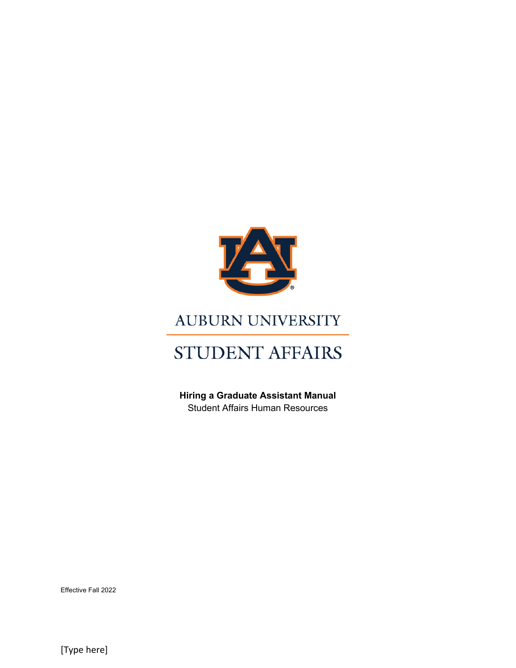

# **AUBURN UNIVERSITY**

# STUDENT AFFAIRS

**Hiring a Graduate Assistant Manual** Student Affairs Human Resources

Effective Fall 2022

[Type here]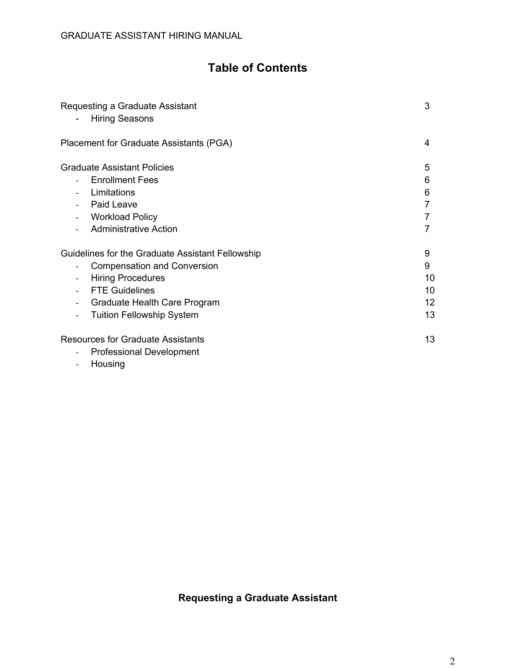# **Table of Contents**

| Requesting a Graduate Assistant<br><b>Hiring Seasons</b>                                                                                                                                                                                    | 3                              |
|---------------------------------------------------------------------------------------------------------------------------------------------------------------------------------------------------------------------------------------------|--------------------------------|
| Placement for Graduate Assistants (PGA)                                                                                                                                                                                                     | 4                              |
| <b>Graduate Assistant Policies</b><br><b>Enrollment Fees</b><br>Limitations<br>Paid Leave<br><b>Workload Policy</b><br><b>Administrative Action</b>                                                                                         | 5<br>6<br>6                    |
| Guidelines for the Graduate Assistant Fellowship<br><b>Compensation and Conversion</b><br>$\overline{\phantom{a}}$<br><b>Hiring Procedures</b><br><b>FTE Guidelines</b><br>Graduate Health Care Program<br><b>Tuition Fellowship System</b> | 9<br>9<br>10<br>10<br>12<br>13 |
| <b>Resources for Graduate Assistants</b><br><b>Professional Development</b><br>Housing<br>$\overline{\phantom{a}}$                                                                                                                          | 13                             |

# **Requesting a Graduate Assistant**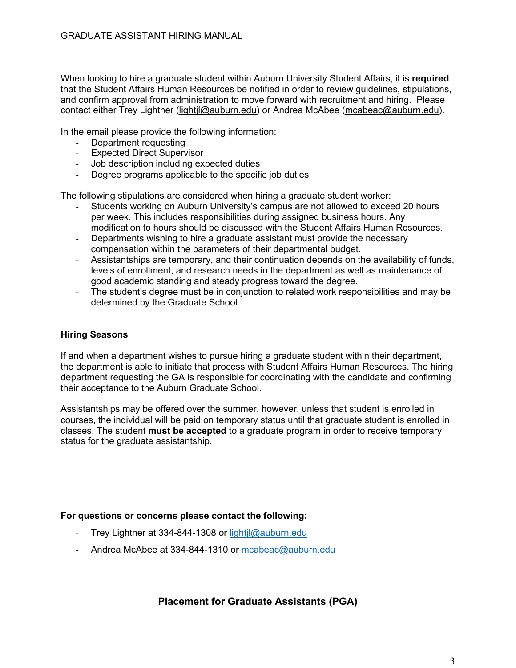When looking to hire a graduate student within Auburn University Student Affairs, it is **required** that the Student Affairs Human Resources be notified in order to review guidelines, stipulations, and confirm approval from administration to move forward with recruitment and hiring. Please contact either Trey Lightner (lightjl@auburn.edu) or Andrea McAbee (mcabeac@auburn.edu).

In the email please provide the following information:

- Department requesting
- Expected Direct Supervisor
- Job description including expected duties
- Degree programs applicable to the specific job duties

The following stipulations are considered when hiring a graduate student worker:

- Students working on Auburn University's campus are not allowed to exceed 20 hours per week. This includes responsibilities during assigned business hours. Any modification to hours should be discussed with the Student Affairs Human Resources.
- Departments wishing to hire a graduate assistant must provide the necessary compensation within the parameters of their departmental budget.
- Assistantships are temporary, and their continuation depends on the availability of funds, levels of enrollment, and research needs in the department as well as maintenance of good academic standing and steady progress toward the degree.
- The student's degree must be in conjunction to related work responsibilities and may be determined by the Graduate School.

#### **Hiring Seasons**

If and when a department wishes to pursue hiring a graduate student within their department, the department is able to initiate that process with Student Affairs Human Resources. The hiring department requesting the GA is responsible for coordinating with the candidate and confirming their acceptance to the Auburn Graduate School.

Assistantships may be offered over the summer, however, unless that student is enrolled in courses, the individual will be paid on temporary status until that graduate student is enrolled in classes. The student **must be accepted** to a graduate program in order to receive temporary status for the graduate assistantship.

#### **For questions or concerns please contact the following:**

- Trey Lightner at 334-844-1308 or lightil@auburn.edu
- Andrea McAbee at 334-844-1310 or mcabeac@auburn.edu

#### **Placement for Graduate Assistants (PGA)**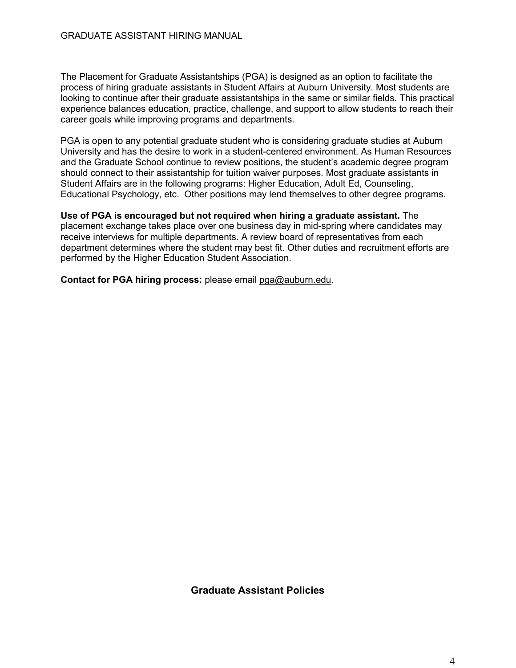The Placement for Graduate Assistantships (PGA) is designed as an option to facilitate the process of hiring graduate assistants in Student Affairs at Auburn University. Most students are looking to continue after their graduate assistantships in the same or similar fields. This practical experience balances education, practice, challenge, and support to allow students to reach their career goals while improving programs and departments.

PGA is open to any potential graduate student who is considering graduate studies at Auburn University and has the desire to work in a student-centered environment. As Human Resources and the Graduate School continue to review positions, the student's academic degree program should connect to their assistantship for tuition waiver purposes. Most graduate assistants in Student Affairs are in the following programs: Higher Education, Adult Ed, Counseling, Educational Psychology, etc. Other positions may lend themselves to other degree programs.

**Use of PGA is encouraged but not required when hiring a graduate assistant.** The placement exchange takes place over one business day in mid-spring where candidates may receive interviews for multiple departments. A review board of representatives from each department determines where the student may best fit. Other duties and recruitment efforts are performed by the Higher Education Student Association.

**Contact for PGA hiring process:** please email pga@auburn.edu.

**Graduate Assistant Policies**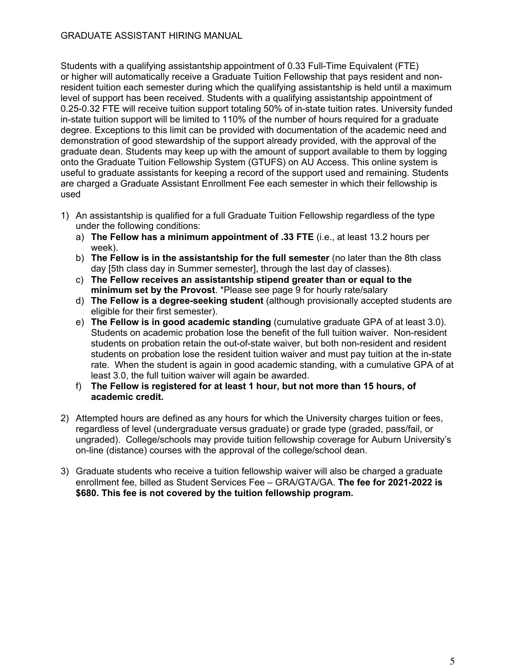Students with a qualifying assistantship appointment of 0.33 Full-Time Equivalent (FTE) or higher will automatically receive a Graduate Tuition Fellowship that pays resident and nonresident tuition each semester during which the qualifying assistantship is held until a maximum level of support has been received. Students with a qualifying assistantship appointment of 0.25-0.32 FTE will receive tuition support totaling 50% of in-state tuition rates. University funded in-state tuition support will be limited to 110% of the number of hours required for a graduate degree. Exceptions to this limit can be provided with documentation of the academic need and demonstration of good stewardship of the support already provided, with the approval of the graduate dean. Students may keep up with the amount of support available to them by logging onto the Graduate Tuition Fellowship System (GTUFS) on AU Access. This online system is useful to graduate assistants for keeping a record of the support used and remaining. Students are charged a Graduate Assistant Enrollment Fee each semester in which their fellowship is used

- 1) An assistantship is qualified for a full Graduate Tuition Fellowship regardless of the type under the following conditions:
	- a) **The Fellow has a minimum appointment of .33 FTE** (i.e., at least 13.2 hours per week).
	- b) **The Fellow is in the assistantship for the full semester** (no later than the 8th class day [5th class day in Summer semester], through the last day of classes).
	- c) **The Fellow receives an assistantship stipend greater than or equal to the minimum set by the Provost**. \*Please see page 9 for hourly rate/salary
	- d) **The Fellow is a degree-seeking student** (although provisionally accepted students are eligible for their first semester).
	- e) **The Fellow is in good academic standing** (cumulative graduate GPA of at least 3.0). Students on academic probation lose the benefit of the full tuition waiver. Non-resident students on probation retain the out-of-state waiver, but both non-resident and resident students on probation lose the resident tuition waiver and must pay tuition at the in-state rate. When the student is again in good academic standing, with a cumulative GPA of at least 3.0, the full tuition waiver will again be awarded.
	- f) **The Fellow is registered for at least 1 hour, but not more than 15 hours, of academic credit.**
- 2) Attempted hours are defined as any hours for which the University charges tuition or fees, regardless of level (undergraduate versus graduate) or grade type (graded, pass/fail, or ungraded). College/schools may provide tuition fellowship coverage for Auburn University's on-line (distance) courses with the approval of the college/school dean.
- 3) Graduate students who receive a tuition fellowship waiver will also be charged a graduate enrollment fee, billed as Student Services Fee – GRA/GTA/GA. **The fee for 2021-2022 is \$680. This fee is not covered by the tuition fellowship program.**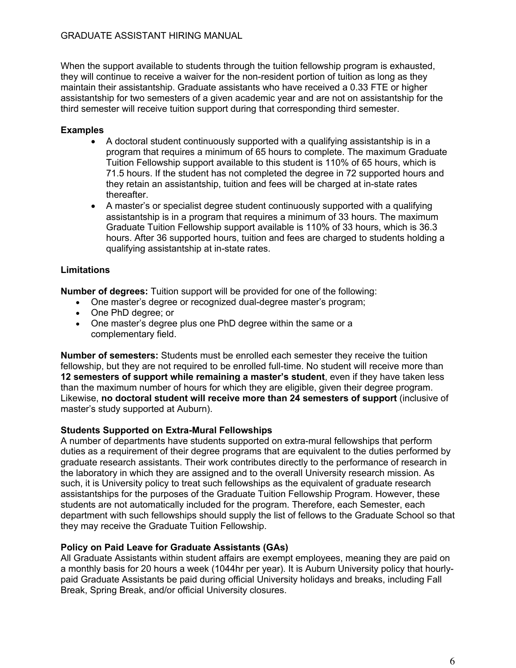When the support available to students through the tuition fellowship program is exhausted, they will continue to receive a waiver for the non-resident portion of tuition as long as they maintain their assistantship. Graduate assistants who have received a 0.33 FTE or higher assistantship for two semesters of a given academic year and are not on assistantship for the third semester will receive tuition support during that corresponding third semester.

### **Examples**

- A doctoral student continuously supported with a qualifying assistantship is in a program that requires a minimum of 65 hours to complete. The maximum Graduate Tuition Fellowship support available to this student is 110% of 65 hours, which is 71.5 hours. If the student has not completed the degree in 72 supported hours and they retain an assistantship, tuition and fees will be charged at in-state rates thereafter.
- A master's or specialist degree student continuously supported with a qualifying assistantship is in a program that requires a minimum of 33 hours. The maximum Graduate Tuition Fellowship support available is 110% of 33 hours, which is 36.3 hours. After 36 supported hours, tuition and fees are charged to students holding a qualifying assistantship at in-state rates.

### **Limitations**

**Number of degrees:** Tuition support will be provided for one of the following:

- One master's degree or recognized dual-degree master's program;
- One PhD degree; or
- One master's degree plus one PhD degree within the same or a complementary field.

**Number of semesters:** Students must be enrolled each semester they receive the tuition fellowship, but they are not required to be enrolled full-time. No student will receive more than **12 semesters of support while remaining a master's student**, even if they have taken less than the maximum number of hours for which they are eligible, given their degree program. Likewise, **no doctoral student will receive more than 24 semesters of support** (inclusive of master's study supported at Auburn).

#### **Students Supported on Extra-Mural Fellowships**

A number of departments have students supported on extra-mural fellowships that perform duties as a requirement of their degree programs that are equivalent to the duties performed by graduate research assistants. Their work contributes directly to the performance of research in the laboratory in which they are assigned and to the overall University research mission. As such, it is University policy to treat such fellowships as the equivalent of graduate research assistantships for the purposes of the Graduate Tuition Fellowship Program. However, these students are not automatically included for the program. Therefore, each Semester, each department with such fellowships should supply the list of fellows to the Graduate School so that they may receive the Graduate Tuition Fellowship.

#### **Policy on Paid Leave for Graduate Assistants (GAs)**

All Graduate Assistants within student affairs are exempt employees, meaning they are paid on a monthly basis for 20 hours a week (1044hr per year). It is Auburn University policy that hourlypaid Graduate Assistants be paid during official University holidays and breaks, including Fall Break, Spring Break, and/or official University closures.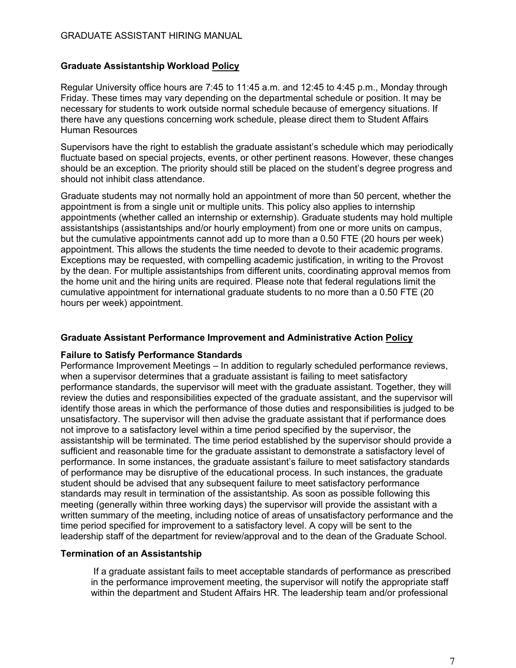#### **Graduate Assistantship Workload Policy**

Regular University office hours are 7:45 to 11:45 a.m. and 12:45 to 4:45 p.m., Monday through Friday. These times may vary depending on the departmental schedule or position. It may be necessary for students to work outside normal schedule because of emergency situations. If there have any questions concerning work schedule, please direct them to Student Affairs Human Resources

Supervisors have the right to establish the graduate assistant's schedule which may periodically fluctuate based on special projects, events, or other pertinent reasons. However, these changes should be an exception. The priority should still be placed on the student's degree progress and should not inhibit class attendance.

Graduate students may not normally hold an appointment of more than 50 percent, whether the appointment is from a single unit or multiple units. This policy also applies to internship appointments (whether called an internship or externship). Graduate students may hold multiple assistantships (assistantships and/or hourly employment) from one or more units on campus, but the cumulative appointments cannot add up to more than a 0.50 FTE (20 hours per week) appointment. This allows the students the time needed to devote to their academic programs. Exceptions may be requested, with compelling academic justification, in writing to the Provost by the dean. For multiple assistantships from different units, coordinating approval memos from the home unit and the hiring units are required. Please note that federal regulations limit the cumulative appointment for international graduate students to no more than a 0.50 FTE (20 hours per week) appointment.

#### **Graduate Assistant Performance Improvement and Administrative Action Policy**

#### **Failure to Satisfy Performance Standards**

Performance Improvement Meetings – In addition to regularly scheduled performance reviews, when a supervisor determines that a graduate assistant is failing to meet satisfactory performance standards, the supervisor will meet with the graduate assistant. Together, they will review the duties and responsibilities expected of the graduate assistant, and the supervisor will identify those areas in which the performance of those duties and responsibilities is judged to be unsatisfactory. The supervisor will then advise the graduate assistant that if performance does not improve to a satisfactory level within a time period specified by the supervisor, the assistantship will be terminated. The time period established by the supervisor should provide a sufficient and reasonable time for the graduate assistant to demonstrate a satisfactory level of performance. In some instances, the graduate assistant's failure to meet satisfactory standards of performance may be disruptive of the educational process. In such instances, the graduate student should be advised that any subsequent failure to meet satisfactory performance standards may result in termination of the assistantship. As soon as possible following this meeting (generally within three working days) the supervisor will provide the assistant with a written summary of the meeting, including notice of areas of unsatisfactory performance and the time period specified for improvement to a satisfactory level. A copy will be sent to the leadership staff of the department for review/approval and to the dean of the Graduate School.

#### **Termination of an Assistantship**

If a graduate assistant fails to meet acceptable standards of performance as prescribed in the performance improvement meeting, the supervisor will notify the appropriate staff within the department and Student Affairs HR. The leadership team and/or professional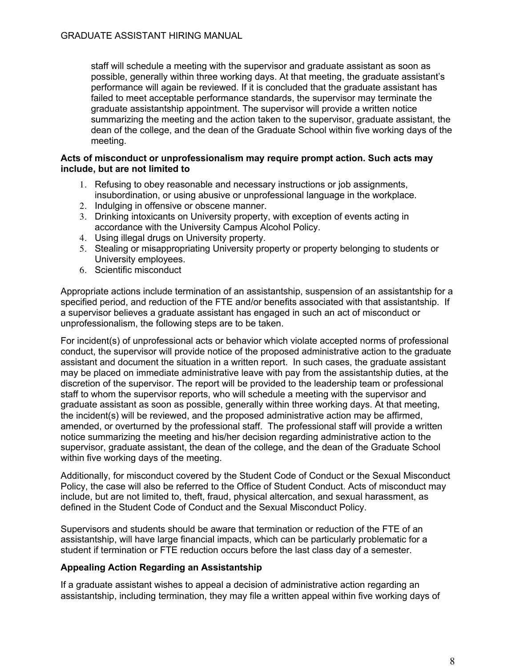staff will schedule a meeting with the supervisor and graduate assistant as soon as possible, generally within three working days. At that meeting, the graduate assistant's performance will again be reviewed. If it is concluded that the graduate assistant has failed to meet acceptable performance standards, the supervisor may terminate the graduate assistantship appointment. The supervisor will provide a written notice summarizing the meeting and the action taken to the supervisor, graduate assistant, the dean of the college, and the dean of the Graduate School within five working days of the meeting.

#### **Acts of misconduct or unprofessionalism may require prompt action. Such acts may include, but are not limited to**

- 1. Refusing to obey reasonable and necessary instructions or job assignments, insubordination, or using abusive or unprofessional language in the workplace.
- 2. Indulging in offensive or obscene manner.
- 3. Drinking intoxicants on University property, with exception of events acting in accordance with the University Campus Alcohol Policy.
- 4. Using illegal drugs on University property.
- 5. Stealing or misappropriating University property or property belonging to students or University employees.
- 6. Scientific misconduct

Appropriate actions include termination of an assistantship, suspension of an assistantship for a specified period, and reduction of the FTE and/or benefits associated with that assistantship. If a supervisor believes a graduate assistant has engaged in such an act of misconduct or unprofessionalism, the following steps are to be taken.

For incident(s) of unprofessional acts or behavior which violate accepted norms of professional conduct, the supervisor will provide notice of the proposed administrative action to the graduate assistant and document the situation in a written report. In such cases, the graduate assistant may be placed on immediate administrative leave with pay from the assistantship duties, at the discretion of the supervisor. The report will be provided to the leadership team or professional staff to whom the supervisor reports, who will schedule a meeting with the supervisor and graduate assistant as soon as possible, generally within three working days. At that meeting, the incident(s) will be reviewed, and the proposed administrative action may be affirmed, amended, or overturned by the professional staff. The professional staff will provide a written notice summarizing the meeting and his/her decision regarding administrative action to the supervisor, graduate assistant, the dean of the college, and the dean of the Graduate School within five working days of the meeting.

Additionally, for misconduct covered by the Student Code of Conduct or the Sexual Misconduct Policy, the case will also be referred to the Office of Student Conduct. Acts of misconduct may include, but are not limited to, theft, fraud, physical altercation, and sexual harassment, as defined in the Student Code of Conduct and the Sexual Misconduct Policy.

Supervisors and students should be aware that termination or reduction of the FTE of an assistantship, will have large financial impacts, which can be particularly problematic for a student if termination or FTE reduction occurs before the last class day of a semester.

#### **Appealing Action Regarding an Assistantship**

If a graduate assistant wishes to appeal a decision of administrative action regarding an assistantship, including termination, they may file a written appeal within five working days of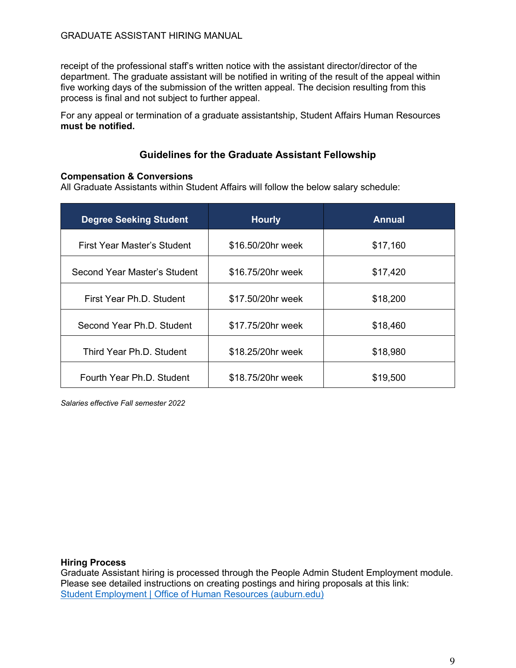receipt of the professional staff's written notice with the assistant director/director of the department. The graduate assistant will be notified in writing of the result of the appeal within five working days of the submission of the written appeal. The decision resulting from this process is final and not subject to further appeal.

For any appeal or termination of a graduate assistantship, Student Affairs Human Resources **must be notified.** 

## **Guidelines for the Graduate Assistant Fellowship**

#### **Compensation & Conversions**

All Graduate Assistants within Student Affairs will follow the below salary schedule:

| <b>Degree Seeking Student</b> | <b>Hourly</b>     | <b>Annual</b> |  |
|-------------------------------|-------------------|---------------|--|
| First Year Master's Student   | \$16.50/20hr week | \$17,160      |  |
| Second Year Master's Student  | \$16.75/20hr week | \$17,420      |  |
| First Year Ph.D. Student      | \$17.50/20hr week | \$18,200      |  |
| Second Year Ph.D. Student     | \$17.75/20hr week | \$18,460      |  |
| Third Year Ph.D. Student      | \$18.25/20hr week | \$18,980      |  |
| Fourth Year Ph.D. Student     | \$18.75/20hr week | \$19,500      |  |

*Salaries effective Fall semester 2022*

#### **Hiring Process**

Graduate Assistant hiring is processed through the People Admin Student Employment module. Please see detailed instructions on creating postings and hiring proposals at this link: Student Employment | Office of Human Resources (auburn.edu)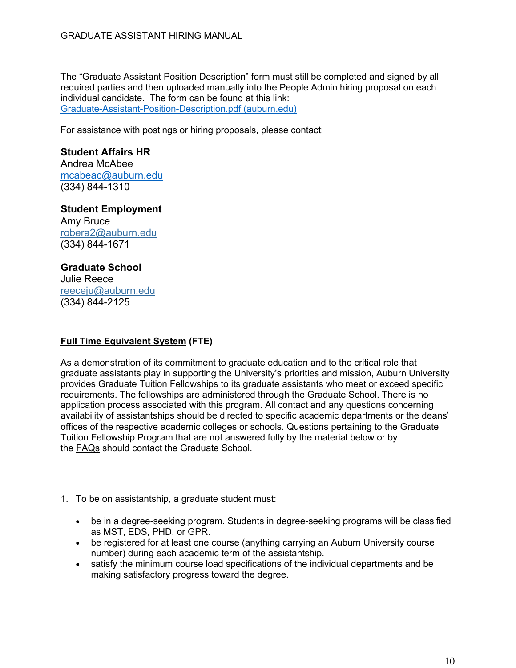The "Graduate Assistant Position Description" form must still be completed and signed by all required parties and then uploaded manually into the People Admin hiring proposal on each individual candidate. The form can be found at this link: Graduate-Assistant-Position-Description.pdf (auburn.edu)

For assistance with postings or hiring proposals, please contact:

#### **Student Affairs HR** Andrea McAbee mcabeac@auburn.edu (334) 844-1310

**Student Employment** Amy Bruce robera2@auburn.edu (334) 844-1671

# **Graduate School**

Julie Reece reeceju@auburn.edu (334) 844-2125

## **Full Time Equivalent System (FTE)**

As a demonstration of its commitment to graduate education and to the critical role that graduate assistants play in supporting the University's priorities and mission, Auburn University provides Graduate Tuition Fellowships to its graduate assistants who meet or exceed specific requirements. The fellowships are administered through the Graduate School. There is no application process associated with this program. All contact and any questions concerning availability of assistantships should be directed to specific academic departments or the deans' offices of the respective academic colleges or schools. Questions pertaining to the Graduate Tuition Fellowship Program that are not answered fully by the material below or by the FAQs should contact the Graduate School.

- 1. To be on assistantship, a graduate student must:
	- be in a degree-seeking program. Students in degree-seeking programs will be classified as MST, EDS, PHD, or GPR.
	- be registered for at least one course (anything carrying an Auburn University course number) during each academic term of the assistantship.
	- satisfy the minimum course load specifications of the individual departments and be making satisfactory progress toward the degree.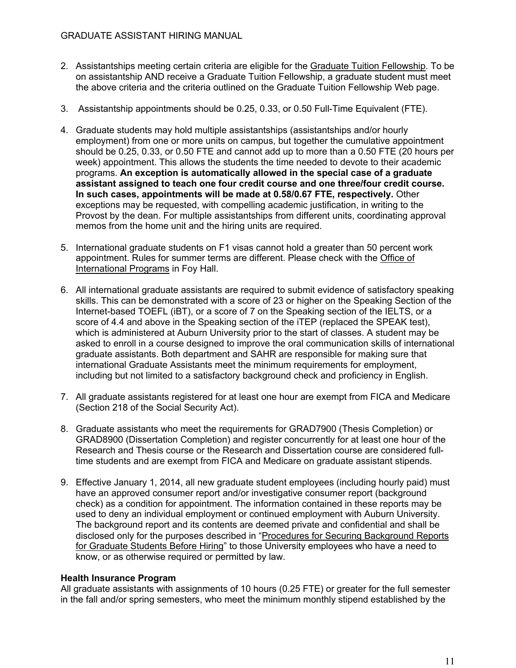- 2. Assistantships meeting certain criteria are eligible for the Graduate Tuition Fellowship. To be on assistantship AND receive a Graduate Tuition Fellowship, a graduate student must meet the above criteria and the criteria outlined on the Graduate Tuition Fellowship Web page.
- 3. Assistantship appointments should be 0.25, 0.33, or 0.50 Full-Time Equivalent (FTE).
- 4. Graduate students may hold multiple assistantships (assistantships and/or hourly employment) from one or more units on campus, but together the cumulative appointment should be 0.25, 0.33, or 0.50 FTE and cannot add up to more than a 0.50 FTE (20 hours per week) appointment. This allows the students the time needed to devote to their academic programs. **An exception is automatically allowed in the special case of a graduate assistant assigned to teach one four credit course and one three/four credit course. In such cases, appointments will be made at 0.58/0.67 FTE, respectively.** Other exceptions may be requested, with compelling academic justification, in writing to the Provost by the dean. For multiple assistantships from different units, coordinating approval memos from the home unit and the hiring units are required.
- 5. International graduate students on F1 visas cannot hold a greater than 50 percent work appointment. Rules for summer terms are different. Please check with the Office of International Programs in Foy Hall.
- 6. All international graduate assistants are required to submit evidence of satisfactory speaking skills. This can be demonstrated with a score of 23 or higher on the Speaking Section of the Internet-based TOEFL (iBT), or a score of 7 on the Speaking section of the IELTS, or a score of 4.4 and above in the Speaking section of the iTEP (replaced the SPEAK test), which is administered at Auburn University prior to the start of classes. A student may be asked to enroll in a course designed to improve the oral communication skills of international graduate assistants. Both department and SAHR are responsible for making sure that international Graduate Assistants meet the minimum requirements for employment, including but not limited to a satisfactory background check and proficiency in English.
- 7. All graduate assistants registered for at least one hour are exempt from FICA and Medicare (Section 218 of the Social Security Act).
- 8. Graduate assistants who meet the requirements for GRAD7900 (Thesis Completion) or GRAD8900 (Dissertation Completion) and register concurrently for at least one hour of the Research and Thesis course or the Research and Dissertation course are considered fulltime students and are exempt from FICA and Medicare on graduate assistant stipends.
- 9. Effective January 1, 2014, all new graduate student employees (including hourly paid) must have an approved consumer report and/or investigative consumer report (background check) as a condition for appointment. The information contained in these reports may be used to deny an individual employment or continued employment with Auburn University. The background report and its contents are deemed private and confidential and shall be disclosed only for the purposes described in "Procedures for Securing Background Reports for Graduate Students Before Hiring" to those University employees who have a need to know, or as otherwise required or permitted by law.

#### **Health Insurance Program**

All graduate assistants with assignments of 10 hours (0.25 FTE) or greater for the full semester in the fall and/or spring semesters, who meet the minimum monthly stipend established by the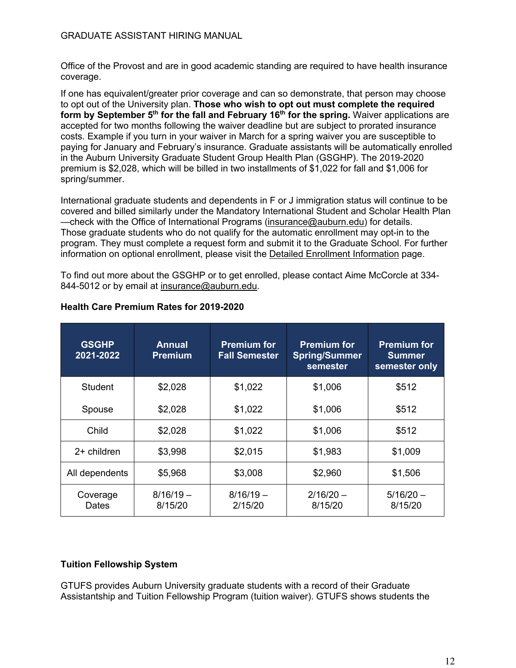Office of the Provost and are in good academic standing are required to have health insurance coverage.

If one has equivalent/greater prior coverage and can so demonstrate, that person may choose to opt out of the University plan. **Those who wish to opt out must complete the required form by September 5<sup>th</sup> for the fall and February 16<sup>th</sup> for the spring. Waiver applications are** accepted for two months following the waiver deadline but are subject to prorated insurance costs. Example if you turn in your waiver in March for a spring waiver you are susceptible to paying for January and February's insurance. Graduate assistants will be automatically enrolled in the Auburn University Graduate Student Group Health Plan (GSGHP). The 2019-2020 premium is \$2,028, which will be billed in two installments of \$1,022 for fall and \$1,006 for spring/summer.

International graduate students and dependents in F or J immigration status will continue to be covered and billed similarly under the Mandatory International Student and Scholar Health Plan —check with the Office of International Programs (insurance@auburn.edu) for details. Those graduate students who do not qualify for the automatic enrollment may opt-in to the program. They must complete a request form and submit it to the Graduate School. For further information on optional enrollment, please visit the Detailed Enrollment Information page.

To find out more about the GSGHP or to get enrolled, please contact Aime McCorcle at 334- 844-5012 or by email at insurance@auburn.edu.

| <b>GSGHP</b><br>2021-2022 | <b>Annual</b><br><b>Premium</b> | <b>Premium for</b><br><b>Fall Semester</b> | <b>Premium for</b><br><b>Spring/Summer</b><br>semester | <b>Premium for</b><br><b>Summer</b><br>semester only |
|---------------------------|---------------------------------|--------------------------------------------|--------------------------------------------------------|------------------------------------------------------|
| Student                   | \$2,028                         | \$1,022                                    | \$1,006                                                | \$512                                                |
| Spouse                    | \$2,028                         | \$1,022                                    | \$1,006                                                | \$512                                                |
| Child                     | \$2,028                         | \$1,022                                    | \$1,006                                                | \$512                                                |
| $2+$ children             | \$3,998                         | \$2,015                                    | \$1,983                                                | \$1,009                                              |
| All dependents            | \$5,968                         | \$3,008                                    | \$2,960                                                | \$1,506                                              |
| Coverage<br>Dates         | $8/16/19 -$<br>8/15/20          | $8/16/19 -$<br>2/15/20                     | $2/16/20 -$<br>8/15/20                                 | $5/16/20 -$<br>8/15/20                               |

#### **Health Care Premium Rates for 2019-2020**

#### **Tuition Fellowship System**

GTUFS provides Auburn University graduate students with a record of their Graduate Assistantship and Tuition Fellowship Program (tuition waiver). GTUFS shows students the